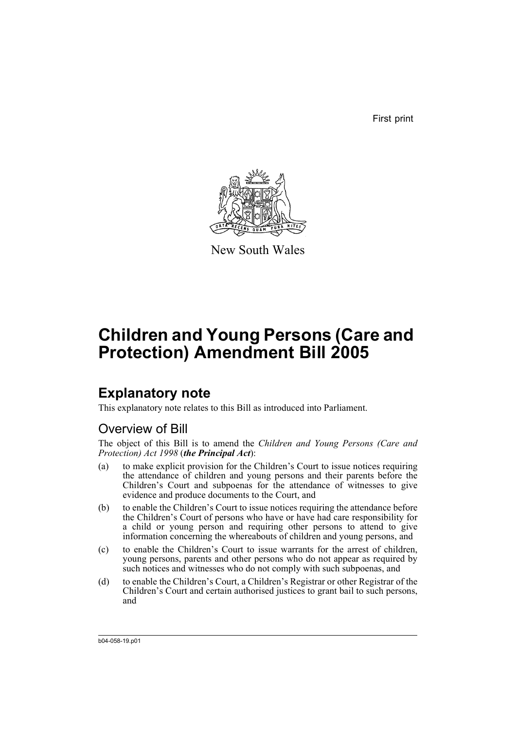First print



New South Wales

# **Children and Young Persons (Care and Protection) Amendment Bill 2005**

# **Explanatory note**

This explanatory note relates to this Bill as introduced into Parliament.

## Overview of Bill

The object of this Bill is to amend the *Children and Young Persons (Care and Protection) Act 1998* (*the Principal Act*):

- (a) to make explicit provision for the Children's Court to issue notices requiring the attendance of children and young persons and their parents before the Children's Court and subpoenas for the attendance of witnesses to give evidence and produce documents to the Court, and
- (b) to enable the Children's Court to issue notices requiring the attendance before the Children's Court of persons who have or have had care responsibility for a child or young person and requiring other persons to attend to give information concerning the whereabouts of children and young persons, and
- (c) to enable the Children's Court to issue warrants for the arrest of children, young persons, parents and other persons who do not appear as required by such notices and witnesses who do not comply with such subpoenas, and
- (d) to enable the Children's Court, a Children's Registrar or other Registrar of the Children's Court and certain authorised justices to grant bail to such persons, and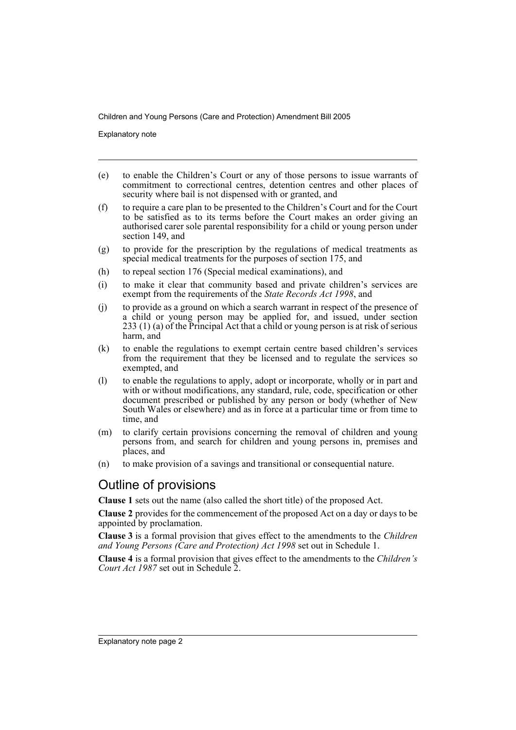Explanatory note

- (e) to enable the Children's Court or any of those persons to issue warrants of commitment to correctional centres, detention centres and other places of security where bail is not dispensed with or granted, and
- (f) to require a care plan to be presented to the Children's Court and for the Court to be satisfied as to its terms before the Court makes an order giving an authorised carer sole parental responsibility for a child or young person under section 149, and
- (g) to provide for the prescription by the regulations of medical treatments as special medical treatments for the purposes of section 175, and
- (h) to repeal section 176 (Special medical examinations), and
- (i) to make it clear that community based and private children's services are exempt from the requirements of the *State Records Act 1998*, and
- (j) to provide as a ground on which a search warrant in respect of the presence of a child or young person may be applied for, and issued, under section 233 (1) (a) of the Principal Act that a child or young person is at risk of serious harm, and
- (k) to enable the regulations to exempt certain centre based children's services from the requirement that they be licensed and to regulate the services so exempted, and
- (l) to enable the regulations to apply, adopt or incorporate, wholly or in part and with or without modifications, any standard, rule, code, specification or other document prescribed or published by any person or body (whether of New South Wales or elsewhere) and as in force at a particular time or from time to time, and
- (m) to clarify certain provisions concerning the removal of children and young persons from, and search for children and young persons in, premises and places, and
- (n) to make provision of a savings and transitional or consequential nature.

## Outline of provisions

**Clause 1** sets out the name (also called the short title) of the proposed Act.

**Clause 2** provides for the commencement of the proposed Act on a day or days to be appointed by proclamation.

**Clause 3** is a formal provision that gives effect to the amendments to the *Children and Young Persons (Care and Protection) Act 1998* set out in Schedule 1.

**Clause 4** is a formal provision that gives effect to the amendments to the *Children's Court Act 1987* set out in Schedule 2.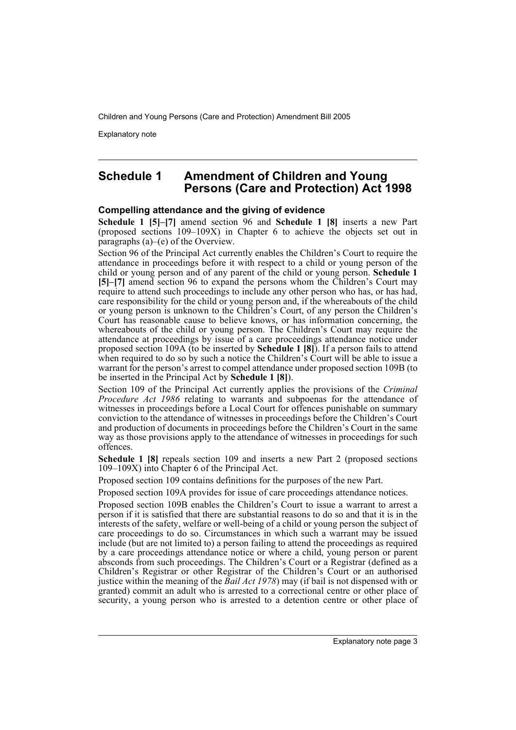Explanatory note

## **Schedule 1 Amendment of Children and Young Persons (Care and Protection) Act 1998**

## **Compelling attendance and the giving of evidence**

**Schedule 1 [5]–[7]** amend section 96 and **Schedule 1 [8]** inserts a new Part (proposed sections 109–109X) in Chapter 6 to achieve the objects set out in paragraphs (a)–(e) of the Overview.

Section 96 of the Principal Act currently enables the Children's Court to require the attendance in proceedings before it with respect to a child or young person of the child or young person and of any parent of the child or young person. **Schedule 1 [5]–[7]** amend section 96 to expand the persons whom the Children's Court may require to attend such proceedings to include any other person who has, or has had, care responsibility for the child or young person and, if the whereabouts of the child or young person is unknown to the Children's Court, of any person the Children's Court has reasonable cause to believe knows, or has information concerning, the whereabouts of the child or young person. The Children's Court may require the attendance at proceedings by issue of a care proceedings attendance notice under proposed section 109A (to be inserted by **Schedule 1 [8]**). If a person fails to attend when required to do so by such a notice the Children's Court will be able to issue a warrant for the person's arrest to compel attendance under proposed section 109B (to be inserted in the Principal Act by **Schedule 1 [8]**).

Section 109 of the Principal Act currently applies the provisions of the *Criminal Procedure Act 1986* relating to warrants and subpoenas for the attendance of witnesses in proceedings before a Local Court for offences punishable on summary conviction to the attendance of witnesses in proceedings before the Children's Court and production of documents in proceedings before the Children's Court in the same way as those provisions apply to the attendance of witnesses in proceedings for such offences.

**Schedule 1 [8]** repeals section 109 and inserts a new Part 2 (proposed sections 109–109X) into Chapter 6 of the Principal Act.

Proposed section 109 contains definitions for the purposes of the new Part.

Proposed section 109A provides for issue of care proceedings attendance notices.

Proposed section 109B enables the Children's Court to issue a warrant to arrest a person if it is satisfied that there are substantial reasons to do so and that it is in the interests of the safety, welfare or well-being of a child or young person the subject of care proceedings to do so. Circumstances in which such a warrant may be issued include (but are not limited to) a person failing to attend the proceedings as required by a care proceedings attendance notice or where a child, young person or parent absconds from such proceedings. The Children's Court or a Registrar (defined as a Children's Registrar or other Registrar of the Children's Court or an authorised justice within the meaning of the *Bail Act 1978*) may (if bail is not dispensed with or granted) commit an adult who is arrested to a correctional centre or other place of security, a young person who is arrested to a detention centre or other place of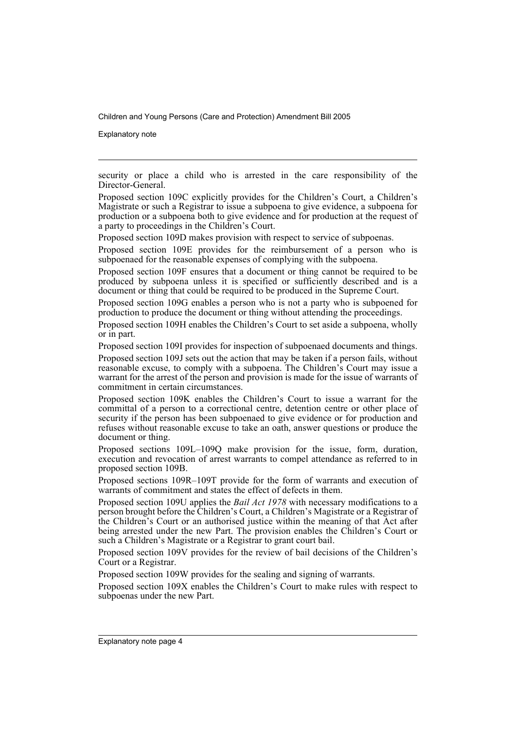Explanatory note

security or place a child who is arrested in the care responsibility of the Director-General.

Proposed section 109C explicitly provides for the Children's Court, a Children's Magistrate or such a Registrar to issue a subpoena to give evidence, a subpoena for production or a subpoena both to give evidence and for production at the request of a party to proceedings in the Children's Court.

Proposed section 109D makes provision with respect to service of subpoenas.

Proposed section 109E provides for the reimbursement of a person who is subpoenaed for the reasonable expenses of complying with the subpoena.

Proposed section 109F ensures that a document or thing cannot be required to be produced by subpoena unless it is specified or sufficiently described and is a document or thing that could be required to be produced in the Supreme Court.

Proposed section 109G enables a person who is not a party who is subpoened for production to produce the document or thing without attending the proceedings.

Proposed section 109H enables the Children's Court to set aside a subpoena, wholly or in part.

Proposed section 109I provides for inspection of subpoenaed documents and things.

Proposed section 109J sets out the action that may be taken if a person fails, without reasonable excuse, to comply with a subpoena. The Children's Court may issue a warrant for the arrest of the person and provision is made for the issue of warrants of commitment in certain circumstances.

Proposed section 109K enables the Children's Court to issue a warrant for the committal of a person to a correctional centre, detention centre or other place of security if the person has been subpoenaed to give evidence or for production and refuses without reasonable excuse to take an oath, answer questions or produce the document or thing.

Proposed sections 109L–109Q make provision for the issue, form, duration, execution and revocation of arrest warrants to compel attendance as referred to in proposed section 109B.

Proposed sections 109R–109T provide for the form of warrants and execution of warrants of commitment and states the effect of defects in them.

Proposed section 109U applies the *Bail Act 1978* with necessary modifications to a person brought before the Children's Court, a Children's Magistrate or a Registrar of the Children's Court or an authorised justice within the meaning of that Act after being arrested under the new Part. The provision enables the Children's Court or such a Children's Magistrate or a Registrar to grant court bail.

Proposed section 109V provides for the review of bail decisions of the Children's Court or a Registrar.

Proposed section 109W provides for the sealing and signing of warrants.

Proposed section 109X enables the Children's Court to make rules with respect to subpoenas under the new Part.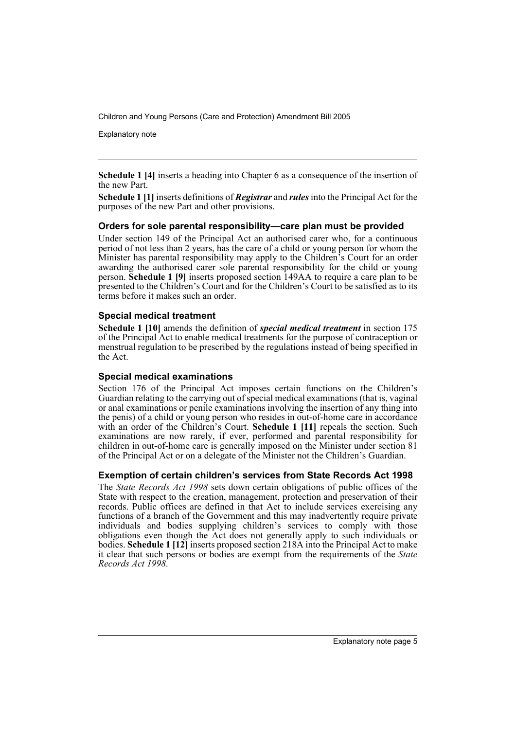Explanatory note

**Schedule 1 [4]** inserts a heading into Chapter 6 as a consequence of the insertion of the new Part.

**Schedule 1 [1]** inserts definitions of *Registrar* and *rules* into the Principal Act for the purposes of the new Part and other provisions.

## **Orders for sole parental responsibility—care plan must be provided**

Under section 149 of the Principal Act an authorised carer who, for a continuous period of not less than 2 years, has the care of a child or young person for whom the Minister has parental responsibility may apply to the Children's Court for an order awarding the authorised carer sole parental responsibility for the child or young person. **Schedule 1 [9]** inserts proposed section 149AA to require a care plan to be presented to the Children's Court and for the Children's Court to be satisfied as to its terms before it makes such an order.

## **Special medical treatment**

**Schedule 1 [10]** amends the definition of *special medical treatment* in section 175 of the Principal Act to enable medical treatments for the purpose of contraception or menstrual regulation to be prescribed by the regulations instead of being specified in the Act.

## **Special medical examinations**

Section 176 of the Principal Act imposes certain functions on the Children's Guardian relating to the carrying out of special medical examinations (that is, vaginal or anal examinations or penile examinations involving the insertion of any thing into the penis) of a child or young person who resides in out-of-home care in accordance with an order of the Children's Court. **Schedule 1 [11]** repeals the section. Such examinations are now rarely, if ever, performed and parental responsibility for children in out-of-home care is generally imposed on the Minister under section 81 of the Principal Act or on a delegate of the Minister not the Children's Guardian.

## **Exemption of certain children's services from State Records Act 1998**

The *State Records Act 1998* sets down certain obligations of public offices of the State with respect to the creation, management, protection and preservation of their records. Public offices are defined in that Act to include services exercising any functions of a branch of the Government and this may inadvertently require private individuals and bodies supplying children's services to comply with those obligations even though the Act does not generally apply to such individuals or bodies. **Schedule 1 [12]** inserts proposed section 218A into the Principal Act to make it clear that such persons or bodies are exempt from the requirements of the *State Records Act 1998*.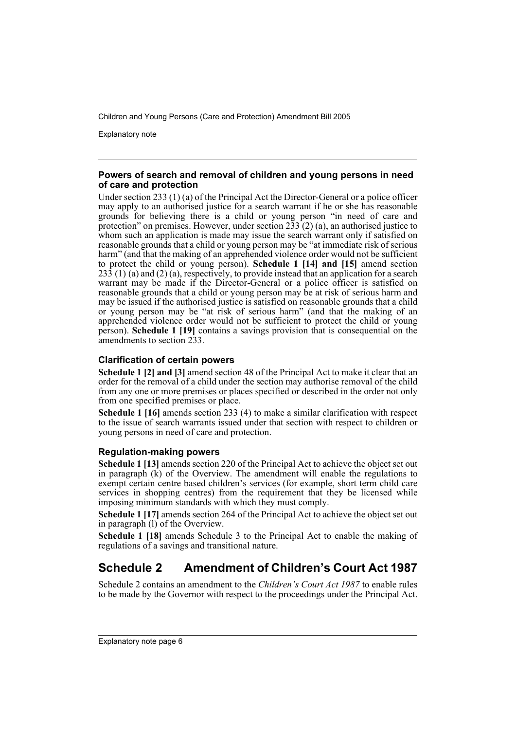Explanatory note

### **Powers of search and removal of children and young persons in need of care and protection**

Under section 233 (1) (a) of the Principal Act the Director-General or a police officer may apply to an authorised justice for a search warrant if he or she has reasonable grounds for believing there is a child or young person "in need of care and protection" on premises. However, under section  $233(2)$  (a), an authorised justice to whom such an application is made may issue the search warrant only if satisfied on reasonable grounds that a child or young person may be "at immediate risk of serious harm" (and that the making of an apprehended violence order would not be sufficient to protect the child or young person). **Schedule 1 [14] and [15]** amend section  $23\overline{3}$  (1) (a) and (2) (a), respectively, to provide instead that an application for a search warrant may be made if the Director-General or a police officer is satisfied on reasonable grounds that a child or young person may be at risk of serious harm and may be issued if the authorised justice is satisfied on reasonable grounds that a child or young person may be "at risk of serious harm" (and that the making of an apprehended violence order would not be sufficient to protect the child or young person). **Schedule 1 [19]** contains a savings provision that is consequential on the amendments to section 233.

## **Clarification of certain powers**

**Schedule 1 [2] and [3]** amend section 48 of the Principal Act to make it clear that an order for the removal of a child under the section may authorise removal of the child from any one or more premises or places specified or described in the order not only from one specified premises or place.

**Schedule 1 [16]** amends section 233 (4) to make a similar clarification with respect to the issue of search warrants issued under that section with respect to children or young persons in need of care and protection.

## **Regulation-making powers**

**Schedule 1 [13]** amends section 220 of the Principal Act to achieve the object set out in paragraph (k) of the Overview. The amendment will enable the regulations to exempt certain centre based children's services (for example, short term child care services in shopping centres) from the requirement that they be licensed while imposing minimum standards with which they must comply.

**Schedule 1 [17]** amends section 264 of the Principal Act to achieve the object set out in paragraph (l) of the Overview.

**Schedule 1 [18]** amends Schedule 3 to the Principal Act to enable the making of regulations of a savings and transitional nature.

## **Schedule 2 Amendment of Children's Court Act 1987**

Schedule 2 contains an amendment to the *Children's Court Act 1987* to enable rules to be made by the Governor with respect to the proceedings under the Principal Act.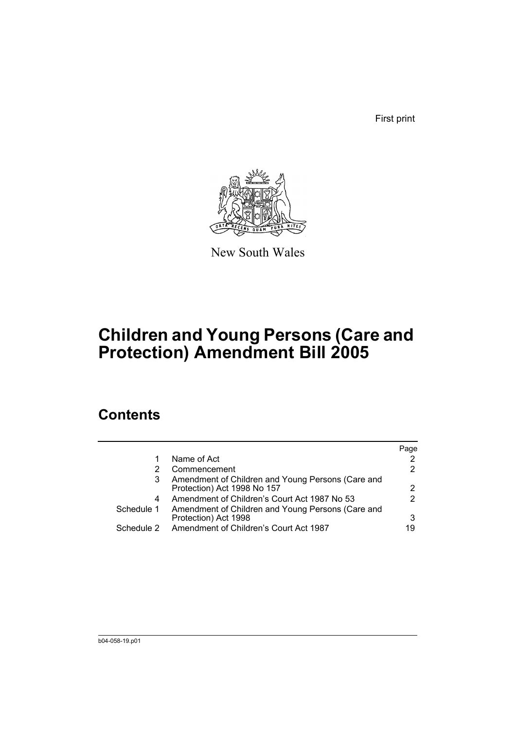First print



New South Wales

# **Children and Young Persons (Care and Protection) Amendment Bill 2005**

# **Contents**

|            |                                                                                  | Page |
|------------|----------------------------------------------------------------------------------|------|
|            | Name of Act                                                                      |      |
|            | Commencement                                                                     | 2    |
| 3          | Amendment of Children and Young Persons (Care and<br>Protection) Act 1998 No 157 | 2    |
| 4          | Amendment of Children's Court Act 1987 No 53                                     | 2    |
| Schedule 1 | Amendment of Children and Young Persons (Care and                                |      |
|            | Protection) Act 1998                                                             | 3    |
| Schedule 2 | Amendment of Children's Court Act 1987                                           | 19   |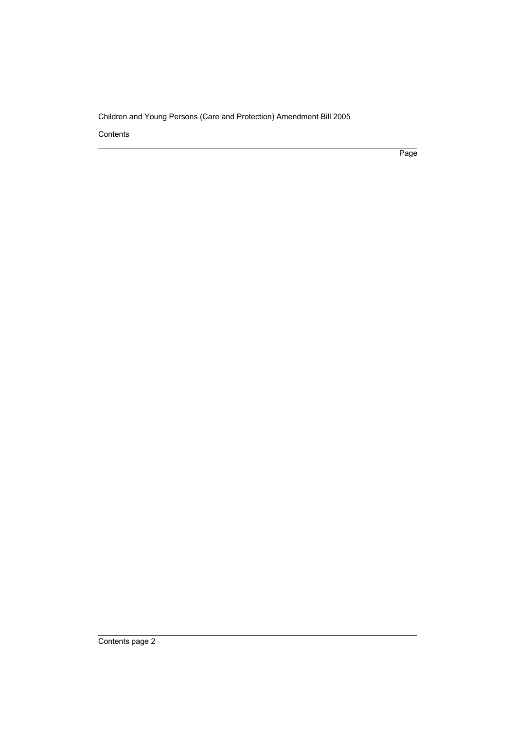Contents

Page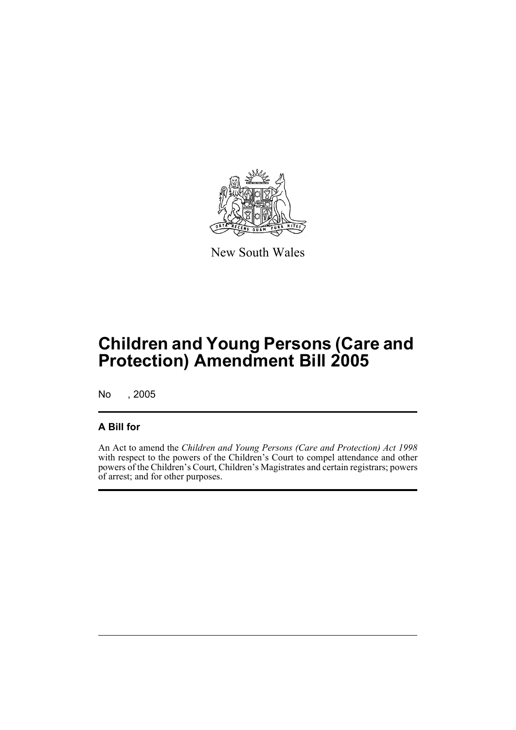

New South Wales

# **Children and Young Persons (Care and Protection) Amendment Bill 2005**

No , 2005

## **A Bill for**

An Act to amend the *Children and Young Persons (Care and Protection) Act 1998* with respect to the powers of the Children's Court to compel attendance and other powers of the Children's Court, Children's Magistrates and certain registrars; powers of arrest; and for other purposes.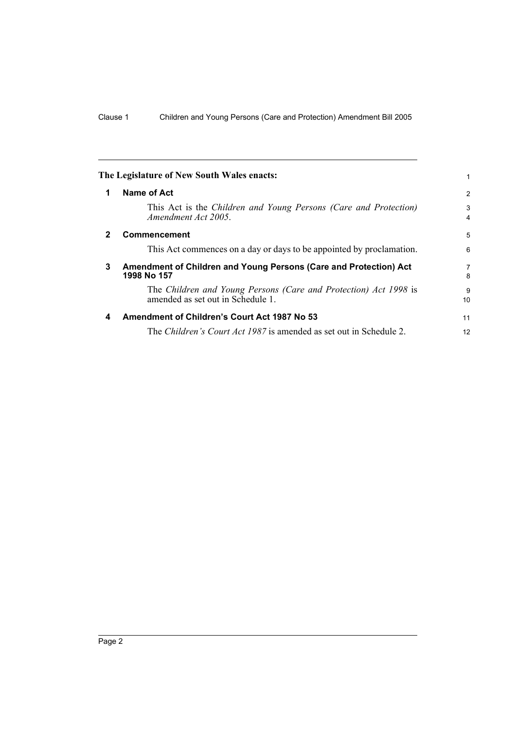<span id="page-9-3"></span><span id="page-9-2"></span><span id="page-9-1"></span><span id="page-9-0"></span>

|   | The Legislature of New South Wales enacts:                                                            |         |
|---|-------------------------------------------------------------------------------------------------------|---------|
| 1 | Name of Act                                                                                           | 2       |
|   | This Act is the Children and Young Persons (Care and Protection)<br>Amendment Act 2005.               | 3<br>4  |
| 2 | <b>Commencement</b>                                                                                   | 5       |
|   | This Act commences on a day or days to be appointed by proclamation.                                  | 6       |
| 3 | Amendment of Children and Young Persons (Care and Protection) Act<br>1998 No 157                      | 7<br>8  |
|   | The Children and Young Persons (Care and Protection) Act 1998 is<br>amended as set out in Schedule 1. | 9<br>10 |
| 4 | Amendment of Children's Court Act 1987 No 53                                                          | 11      |
|   | The <i>Children's Court Act 1987</i> is amended as set out in Schedule 2.                             | 12      |
|   |                                                                                                       |         |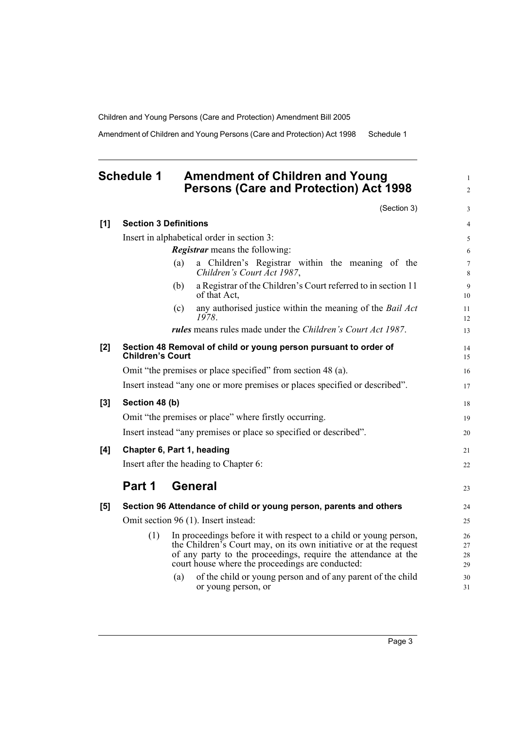Amendment of Children and Young Persons (Care and Protection) Act 1998 Schedule 1

## <span id="page-10-0"></span>**Schedule 1 Amendment of Children and Young Persons (Care and Protection) Act 1998**

(Section 3)

1 2

3

| [1]   | <b>Section 3 Definitions</b>                                                                                                                                                                                                                                        | $\overline{4}$        |  |  |  |  |
|-------|---------------------------------------------------------------------------------------------------------------------------------------------------------------------------------------------------------------------------------------------------------------------|-----------------------|--|--|--|--|
|       | Insert in alphabetical order in section 3:                                                                                                                                                                                                                          |                       |  |  |  |  |
|       | <b>Registrar</b> means the following:                                                                                                                                                                                                                               | 6                     |  |  |  |  |
|       | a Children's Registrar within the meaning of the<br>(a)<br>Children's Court Act 1987,                                                                                                                                                                               | $\boldsymbol{7}$<br>8 |  |  |  |  |
|       | a Registrar of the Children's Court referred to in section 11<br>(b)<br>of that Act,                                                                                                                                                                                | $\overline{9}$<br>10  |  |  |  |  |
|       | any authorised justice within the meaning of the Bail Act<br>(c)<br>1978.                                                                                                                                                                                           | 11<br>12              |  |  |  |  |
|       | rules means rules made under the Children's Court Act 1987.                                                                                                                                                                                                         | 13                    |  |  |  |  |
| [2]   | Section 48 Removal of child or young person pursuant to order of<br><b>Children's Court</b>                                                                                                                                                                         | 14<br>15              |  |  |  |  |
|       | Omit "the premises or place specified" from section 48 (a).                                                                                                                                                                                                         | 16                    |  |  |  |  |
|       | Insert instead "any one or more premises or places specified or described".                                                                                                                                                                                         | 17                    |  |  |  |  |
| $[3]$ | Section 48 (b)                                                                                                                                                                                                                                                      | 18                    |  |  |  |  |
|       | Omit "the premises or place" where firstly occurring.                                                                                                                                                                                                               | 19                    |  |  |  |  |
|       | Insert instead "any premises or place so specified or described".                                                                                                                                                                                                   | 20                    |  |  |  |  |
| [4]   | Chapter 6, Part 1, heading                                                                                                                                                                                                                                          | 21                    |  |  |  |  |
|       | Insert after the heading to Chapter 6:                                                                                                                                                                                                                              |                       |  |  |  |  |
|       | Part 1<br><b>General</b>                                                                                                                                                                                                                                            | 23                    |  |  |  |  |
| [5]   | Section 96 Attendance of child or young person, parents and others                                                                                                                                                                                                  | 24                    |  |  |  |  |
|       | Omit section 96 (1). Insert instead:                                                                                                                                                                                                                                | 25                    |  |  |  |  |
|       | In proceedings before it with respect to a child or young person,<br>(1)<br>the Children's Court may, on its own initiative or at the request<br>of any party to the proceedings, require the attendance at the<br>court house where the proceedings are conducted: | 26<br>27<br>28<br>29  |  |  |  |  |
|       | of the child or young person and of any parent of the child<br>(a)<br>or young person, or                                                                                                                                                                           | 30<br>31              |  |  |  |  |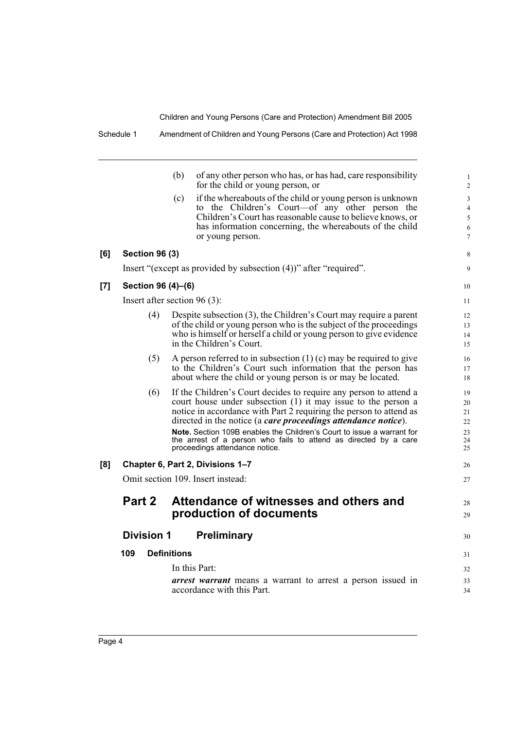|     |                       | (b)<br>of any other person who has, or has had, care responsibility<br>for the child or young person, or                             | $\mathbf{1}$<br>$\overline{2}$ |  |
|-----|-----------------------|--------------------------------------------------------------------------------------------------------------------------------------|--------------------------------|--|
|     |                       | if the whereabouts of the child or young person is unknown<br>(c)                                                                    | 3                              |  |
|     |                       | to the Children's Court—of any other person the                                                                                      | $\overline{4}$                 |  |
|     |                       | Children's Court has reasonable cause to believe knows, or                                                                           | 5                              |  |
|     |                       | has information concerning, the whereabouts of the child<br>or young person.                                                         | 6<br>$\overline{7}$            |  |
| [6] | <b>Section 96 (3)</b> |                                                                                                                                      | 8                              |  |
|     |                       | Insert "(except as provided by subsection (4))" after "required".                                                                    | 9                              |  |
| [7] | Section 96 (4)-(6)    |                                                                                                                                      |                                |  |
|     |                       | Insert after section $96(3)$ :                                                                                                       | 11                             |  |
|     | (4)                   | Despite subsection (3), the Children's Court may require a parent                                                                    | 12                             |  |
|     |                       | of the child or young person who is the subject of the proceedings                                                                   | 13                             |  |
|     |                       | who is himself or herself a child or young person to give evidence<br>in the Children's Court.                                       | 14<br>15                       |  |
|     |                       |                                                                                                                                      |                                |  |
|     | (5)                   | A person referred to in subsection $(1)$ (c) may be required to give<br>to the Children's Court such information that the person has | 16<br>17                       |  |
|     |                       | about where the child or young person is or may be located.                                                                          | 18                             |  |
|     | (6)                   | If the Children's Court decides to require any person to attend a                                                                    | 19                             |  |
|     |                       | court house under subsection (1) it may issue to the person a                                                                        | 20                             |  |
|     |                       | notice in accordance with Part 2 requiring the person to attend as<br>directed in the notice (a care proceedings attendance notice). | 21<br>22                       |  |
|     |                       | Note. Section 109B enables the Children's Court to issue a warrant for                                                               | 23                             |  |
|     |                       | the arrest of a person who fails to attend as directed by a care                                                                     | 24                             |  |
|     |                       | proceedings attendance notice.                                                                                                       | 25                             |  |
| [8] |                       | Chapter 6, Part 2, Divisions 1-7                                                                                                     | 26                             |  |
|     |                       | Omit section 109. Insert instead:                                                                                                    | 27                             |  |
|     | Part 2                | Attendance of witnesses and others and                                                                                               | 28                             |  |
|     |                       | production of documents                                                                                                              | 29                             |  |
|     |                       |                                                                                                                                      |                                |  |
|     | <b>Division 1</b>     | <b>Preliminary</b>                                                                                                                   | 30                             |  |
|     | 109                   | <b>Definitions</b>                                                                                                                   | 31                             |  |
|     |                       | In this Part:                                                                                                                        | 32                             |  |
|     |                       | <i>arrest warrant</i> means a warrant to arrest a person issued in                                                                   | 33                             |  |
|     |                       | accordance with this Part.                                                                                                           | 34                             |  |
|     |                       |                                                                                                                                      |                                |  |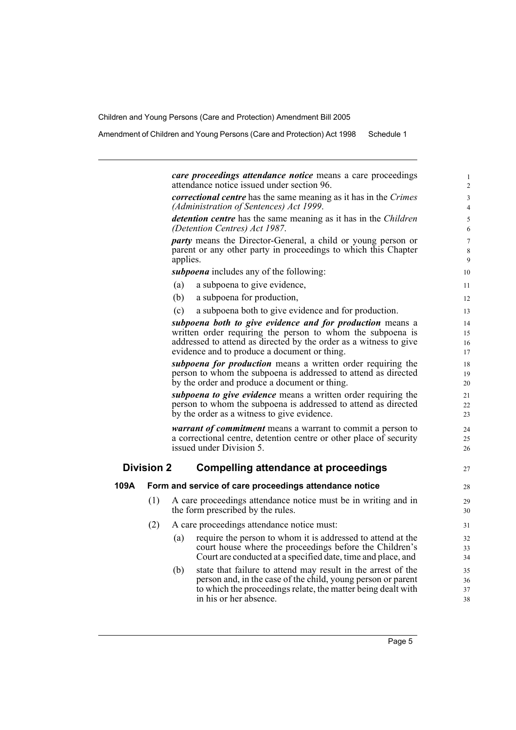Amendment of Children and Young Persons (Care and Protection) Act 1998 Schedule 1

*care proceedings attendance notice* means a care proceedings attendance notice issued under section 96. *correctional centre* has the same meaning as it has in the *Crimes (Administration of Sentences) Act 1999*. *detention centre* has the same meaning as it has in the *Children (Detention Centres) Act 1987*. *party* means the Director-General, a child or young person or parent or any other party in proceedings to which this Chapter applies. *subpoena* includes any of the following: (a) a subpoena to give evidence, (b) a subpoena for production, (c) a subpoena both to give evidence and for production. *subpoena both to give evidence and for production* means a written order requiring the person to whom the subpoena is addressed to attend as directed by the order as a witness to give evidence and to produce a document or thing.

*subpoena for production* means a written order requiring the person to whom the subpoena is addressed to attend as directed by the order and produce a document or thing.

*subpoena to give evidence* means a written order requiring the person to whom the subpoena is addressed to attend as directed by the order as a witness to give evidence.

*warrant of commitment* means a warrant to commit a person to a correctional centre, detention centre or other place of security issued under Division 5.

## **Division 2 Compelling attendance at proceedings**

| 109A |     | Form and service of care proceedings attendance notice                                                                                                                                        |
|------|-----|-----------------------------------------------------------------------------------------------------------------------------------------------------------------------------------------------|
|      | (1) | A care proceedings attendance notice must be in writing and in<br>the form prescribed by the rules.                                                                                           |
|      | (2) | A care proceedings attendance notice must:                                                                                                                                                    |
|      |     | require the person to whom it is addressed to attend at the<br>(a)<br>court house where the proceedings before the Children's<br>Court are conducted at a specified date, time and place, and |

(b) state that failure to attend may result in the arrest of the person and, in the case of the child, young person or parent to which the proceedings relate, the matter being dealt with in his or her absence.

27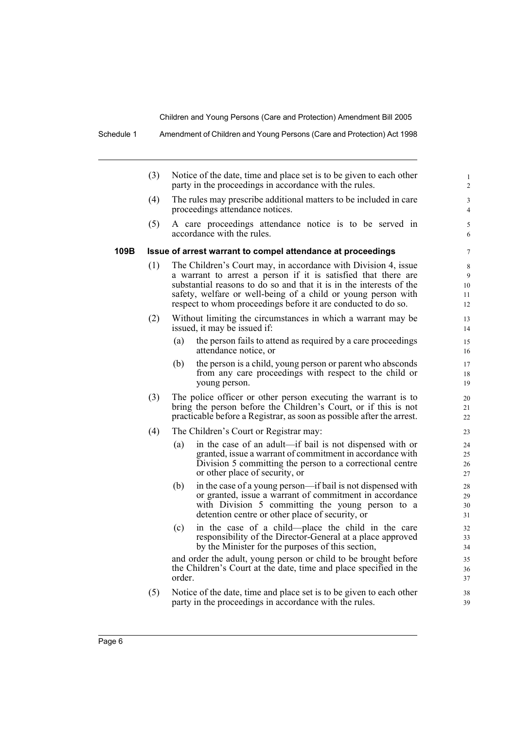|      | (3) | Notice of the date, time and place set is to be given to each other<br>party in the proceedings in accordance with the rules.                                                                                                                                                                                                             |
|------|-----|-------------------------------------------------------------------------------------------------------------------------------------------------------------------------------------------------------------------------------------------------------------------------------------------------------------------------------------------|
|      | (4) | The rules may prescribe additional matters to be included in care<br>proceedings attendance notices.                                                                                                                                                                                                                                      |
|      | (5) | A care proceedings attendance notice is to be served in<br>accordance with the rules.                                                                                                                                                                                                                                                     |
| 109B |     | Issue of arrest warrant to compel attendance at proceedings                                                                                                                                                                                                                                                                               |
|      | (1) | The Children's Court may, in accordance with Division 4, issue<br>a warrant to arrest a person if it is satisfied that there are<br>substantial reasons to do so and that it is in the interests of the<br>safety, welfare or well-being of a child or young person with<br>respect to whom proceedings before it are conducted to do so. |
|      | (2) | Without limiting the circumstances in which a warrant may be<br>issued, it may be issued if:                                                                                                                                                                                                                                              |
|      |     | the person fails to attend as required by a care proceedings<br>(a)<br>attendance notice, or                                                                                                                                                                                                                                              |
|      |     | (b)<br>the person is a child, young person or parent who absconds<br>from any care proceedings with respect to the child or<br>young person.                                                                                                                                                                                              |
|      | (3) | The police officer or other person executing the warrant is to<br>bring the person before the Children's Court, or if this is not<br>practicable before a Registrar, as soon as possible after the arrest.                                                                                                                                |
|      | (4) | The Children's Court or Registrar may:                                                                                                                                                                                                                                                                                                    |
|      |     | in the case of an adult—if bail is not dispensed with or<br>(a)<br>granted, issue a warrant of commitment in accordance with<br>Division 5 committing the person to a correctional centre<br>or other place of security, or                                                                                                               |
|      |     | in the case of a young person-if bail is not dispensed with<br>(b)<br>or granted, issue a warrant of commitment in accordance<br>with Division 5 committing the young person to a<br>detention centre or other place of security, or                                                                                                      |
|      |     | in the case of a child—place the child in the care<br>(c)<br>responsibility of the Director-General at a place approved<br>by the Minister for the purposes of this section,                                                                                                                                                              |
|      |     | and order the adult, young person or child to be brought before<br>the Children's Court at the date, time and place specified in the                                                                                                                                                                                                      |

(5) Notice of the date, time and place set is to be given to each other party in the proceedings in accordance with the rules.

Schedule 1 Amendment of Children and Young Persons (Care and Protection) Act 1998

Page 6

order.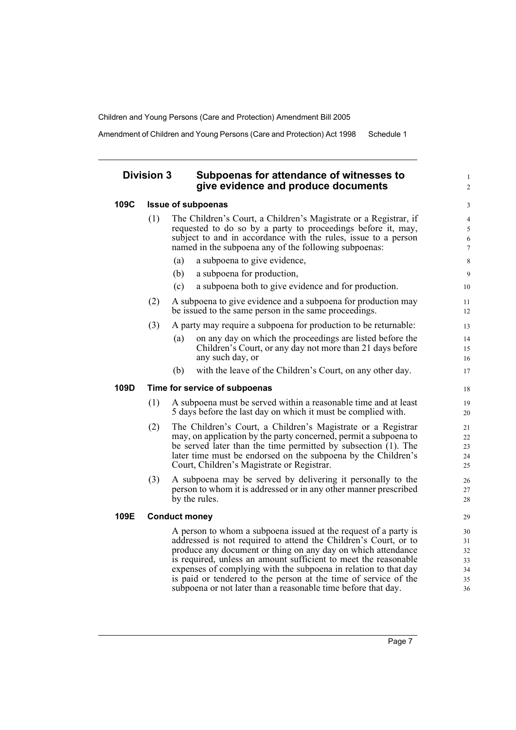Amendment of Children and Young Persons (Care and Protection) Act 1998 Schedule 1

## **Division 3 Subpoenas for attendance of witnesses to give evidence and produce documents**

#### **109C Issue of subpoenas**

- (1) The Children's Court, a Children's Magistrate or a Registrar, if requested to do so by a party to proceedings before it, may, subject to and in accordance with the rules, issue to a person named in the subpoena any of the following subpoenas:
	- (a) a subpoena to give evidence,
	- (b) a subpoena for production,
	- (c) a subpoena both to give evidence and for production.
- (2) A subpoena to give evidence and a subpoena for production may be issued to the same person in the same proceedings.
- (3) A party may require a subpoena for production to be returnable:
	- (a) on any day on which the proceedings are listed before the Children's Court, or any day not more than 21 days before any such day, or
	- (b) with the leave of the Children's Court, on any other day.

#### **109D Time for service of subpoenas**

- (1) A subpoena must be served within a reasonable time and at least 5 days before the last day on which it must be complied with.
- (2) The Children's Court, a Children's Magistrate or a Registrar may, on application by the party concerned, permit a subpoena to be served later than the time permitted by subsection (1). The later time must be endorsed on the subpoena by the Children's Court, Children's Magistrate or Registrar.
- (3) A subpoena may be served by delivering it personally to the person to whom it is addressed or in any other manner prescribed by the rules.

## **109E Conduct money**

A person to whom a subpoena issued at the request of a party is addressed is not required to attend the Children's Court, or to produce any document or thing on any day on which attendance is required, unless an amount sufficient to meet the reasonable expenses of complying with the subpoena in relation to that day is paid or tendered to the person at the time of service of the subpoena or not later than a reasonable time before that day.

1  $\overline{2}$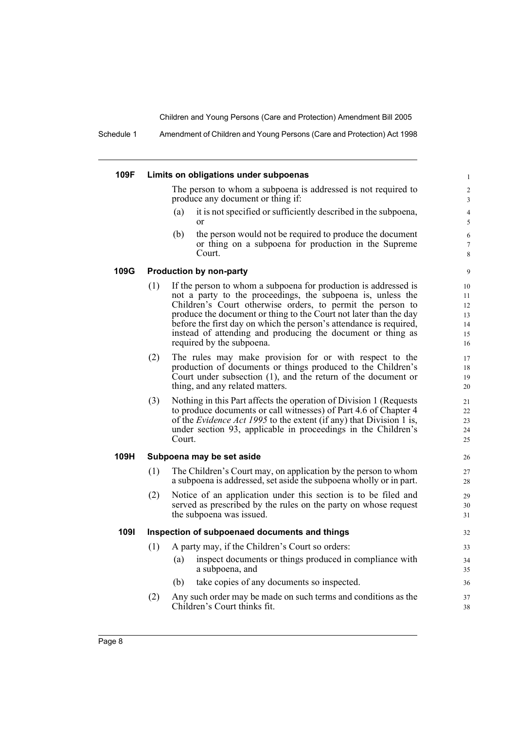Schedule 1 Amendment of Children and Young Persons (Care and Protection) Act 1998

#### **109F Limits on obligations under subpoenas**

The person to whom a subpoena is addressed is not required to produce any document or thing if:

- (a) it is not specified or sufficiently described in the subpoena, or
- (b) the person would not be required to produce the document or thing on a subpoena for production in the Supreme Court.

#### **109G Production by non-party**

- (1) If the person to whom a subpoena for production is addressed is not a party to the proceedings, the subpoena is, unless the Children's Court otherwise orders, to permit the person to produce the document or thing to the Court not later than the day before the first day on which the person's attendance is required, instead of attending and producing the document or thing as required by the subpoena.
- (2) The rules may make provision for or with respect to the production of documents or things produced to the Children's Court under subsection (1), and the return of the document or thing, and any related matters.
- (3) Nothing in this Part affects the operation of Division 1 (Requests to produce documents or call witnesses) of Part 4.6 of Chapter 4 of the *Evidence Act 1995* to the extent (if any) that Division 1 is, under section 93, applicable in proceedings in the Children's Court.

#### **109H Subpoena may be set aside**

- (1) The Children's Court may, on application by the person to whom a subpoena is addressed, set aside the subpoena wholly or in part.
- (2) Notice of an application under this section is to be filed and served as prescribed by the rules on the party on whose request the subpoena was issued.

#### **109I Inspection of subpoenaed documents and things**

- (1) A party may, if the Children's Court so orders:
	- (a) inspect documents or things produced in compliance with a subpoena, and
	- (b) take copies of any documents so inspected.
- (2) Any such order may be made on such terms and conditions as the Children's Court thinks fit.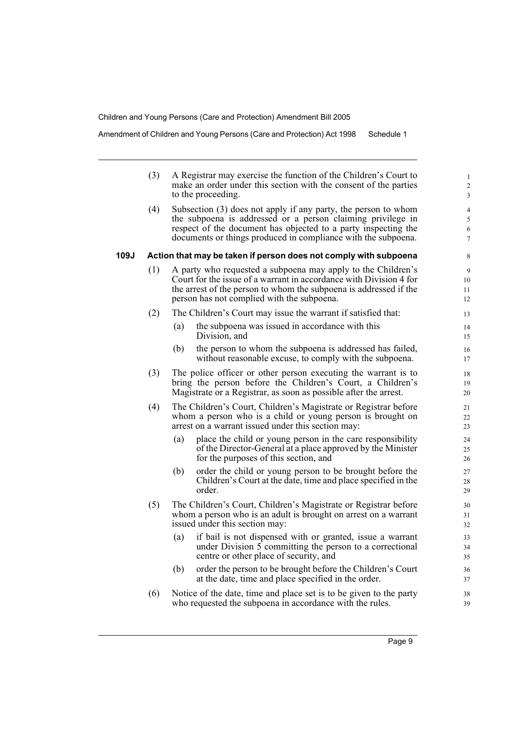Amendment of Children and Young Persons (Care and Protection) Act 1998 Schedule 1

|      | (3) | A Registrar may exercise the function of the Children's Court to<br>make an order under this section with the consent of the parties<br>to the proceeding.                                                                                                       | $\mathbf{1}$<br>$\overline{c}$<br>$\mathfrak{Z}$ |
|------|-----|------------------------------------------------------------------------------------------------------------------------------------------------------------------------------------------------------------------------------------------------------------------|--------------------------------------------------|
|      | (4) | Subsection (3) does not apply if any party, the person to whom<br>the subpoena is addressed or a person claiming privilege in<br>respect of the document has objected to a party inspecting the<br>documents or things produced in compliance with the subpoena. | $\overline{4}$<br>5<br>6<br>$\tau$               |
| 109J |     | Action that may be taken if person does not comply with subpoena                                                                                                                                                                                                 | 8                                                |
|      | (1) | A party who requested a subpoena may apply to the Children's<br>Court for the issue of a warrant in accordance with Division 4 for<br>the arrest of the person to whom the subpoena is addressed if the<br>person has not complied with the subpoena.            | 9<br>10<br>11<br>12                              |
|      | (2) | The Children's Court may issue the warrant if satisfied that:                                                                                                                                                                                                    | 13                                               |
|      |     | the subpoena was issued in accordance with this<br>(a)<br>Division, and                                                                                                                                                                                          | 14<br>15                                         |
|      |     | the person to whom the subpoena is addressed has failed,<br>(b)<br>without reasonable excuse, to comply with the subpoena.                                                                                                                                       | 16<br>17                                         |
|      | (3) | The police officer or other person executing the warrant is to<br>bring the person before the Children's Court, a Children's<br>Magistrate or a Registrar, as soon as possible after the arrest.                                                                 | 18<br>19<br>20                                   |
|      | (4) | The Children's Court, Children's Magistrate or Registrar before<br>whom a person who is a child or young person is brought on<br>arrest on a warrant issued under this section may:                                                                              | 21<br>22<br>23                                   |
|      |     | place the child or young person in the care responsibility<br>(a)<br>of the Director-General at a place approved by the Minister<br>for the purposes of this section, and                                                                                        | 24<br>25<br>26                                   |
|      |     | order the child or young person to be brought before the<br>(b)<br>Children's Court at the date, time and place specified in the<br>order.                                                                                                                       | 27<br>28<br>29                                   |
|      | (5) | The Children's Court, Children's Magistrate or Registrar before<br>whom a person who is an adult is brought on arrest on a warrant<br>issued under this section may:                                                                                             | 30<br>31<br>32                                   |
|      |     | if bail is not dispensed with or granted, issue a warrant<br>(a)<br>under Division 5 committing the person to a correctional<br>centre or other place of security, and                                                                                           | 33<br>34<br>35                                   |
|      |     | (b)<br>order the person to be brought before the Children's Court<br>at the date, time and place specified in the order.                                                                                                                                         | 36<br>37                                         |
|      | (6) | Notice of the date, time and place set is to be given to the party                                                                                                                                                                                               | 38                                               |

who requested the subpoena in accordance with the rules.

39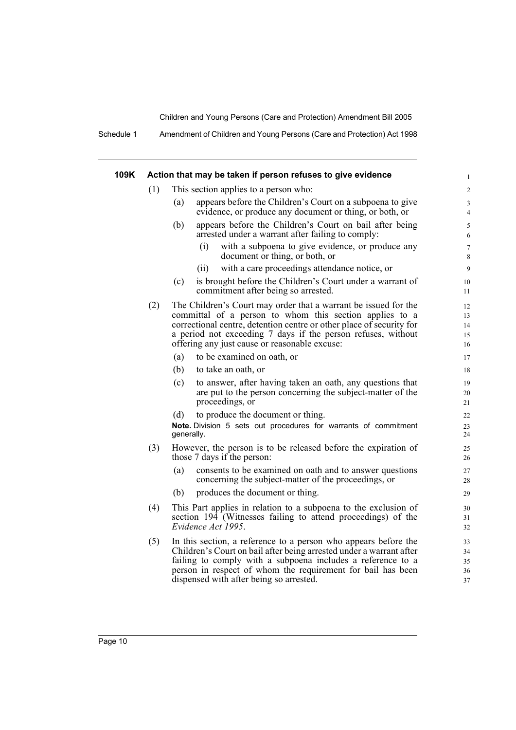Schedule 1 Amendment of Children and Young Persons (Care and Protection) Act 1998

| 109K | Action that may be taken if person refuses to give evidence |                                                                                                                                                                                                                                                                                                                     |                            |  |
|------|-------------------------------------------------------------|---------------------------------------------------------------------------------------------------------------------------------------------------------------------------------------------------------------------------------------------------------------------------------------------------------------------|----------------------------|--|
|      | (1)                                                         | This section applies to a person who:                                                                                                                                                                                                                                                                               | $\overline{2}$             |  |
|      |                                                             | appears before the Children's Court on a subpoena to give<br>(a)<br>evidence, or produce any document or thing, or both, or                                                                                                                                                                                         | 3<br>$\overline{4}$        |  |
|      |                                                             | (b)<br>appears before the Children's Court on bail after being<br>arrested under a warrant after failing to comply:                                                                                                                                                                                                 | 5<br>6                     |  |
|      |                                                             | with a subpoena to give evidence, or produce any<br>(i)<br>document or thing, or both, or                                                                                                                                                                                                                           | $\boldsymbol{7}$<br>8      |  |
|      |                                                             | with a care proceedings attendance notice, or<br>(ii)                                                                                                                                                                                                                                                               | 9                          |  |
|      |                                                             | is brought before the Children's Court under a warrant of<br>(c)<br>commitment after being so arrested.                                                                                                                                                                                                             | 10<br>11                   |  |
|      | (2)                                                         | The Children's Court may order that a warrant be issued for the<br>committal of a person to whom this section applies to a<br>correctional centre, detention centre or other place of security for<br>a period not exceeding 7 days if the person refuses, without<br>offering any just cause or reasonable excuse: | 12<br>13<br>14<br>15<br>16 |  |
|      |                                                             | to be examined on oath, or<br>(a)                                                                                                                                                                                                                                                                                   | 17                         |  |
|      |                                                             | (b)<br>to take an oath, or                                                                                                                                                                                                                                                                                          | 18                         |  |
|      |                                                             | to answer, after having taken an oath, any questions that<br>(c)<br>are put to the person concerning the subject-matter of the<br>proceedings, or                                                                                                                                                                   | 19<br>20<br>21             |  |
|      |                                                             | to produce the document or thing.<br>(d)<br>Note. Division 5 sets out procedures for warrants of commitment<br>generally.                                                                                                                                                                                           | 22<br>23<br>24             |  |
|      | (3)                                                         | However, the person is to be released before the expiration of<br>those 7 days if the person:                                                                                                                                                                                                                       | 25<br>26                   |  |
|      |                                                             | consents to be examined on oath and to answer questions<br>(a)<br>concerning the subject-matter of the proceedings, or                                                                                                                                                                                              | 27<br>28                   |  |
|      |                                                             | produces the document or thing.<br>(b)                                                                                                                                                                                                                                                                              | 29                         |  |
|      | (4)                                                         | This Part applies in relation to a subpoena to the exclusion of<br>section 194 (Witnesses failing to attend proceedings) of the<br>Evidence Act 1995.                                                                                                                                                               | 30<br>31<br>32             |  |
|      | (5)                                                         | In this section, a reference to a person who appears before the<br>Children's Court on bail after being arrested under a warrant after<br>failing to comply with a subpoena includes a reference to a<br>person in respect of whom the requirement for bail has been<br>dispensed with after being so arrested.     | 33<br>34<br>35<br>36<br>37 |  |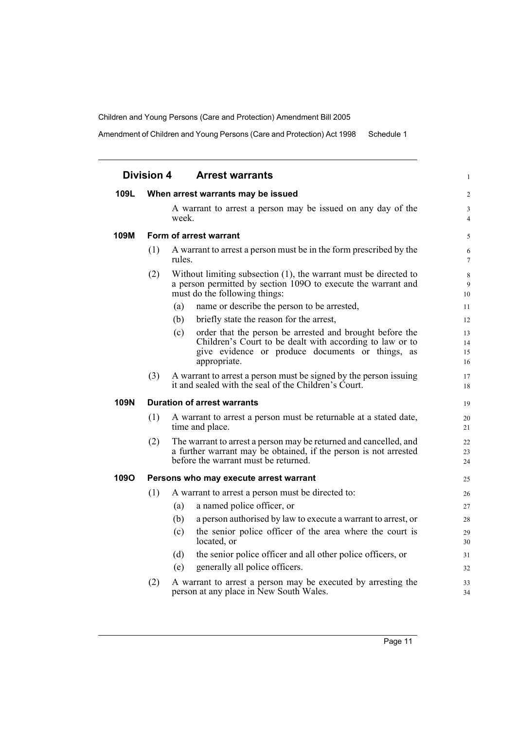Amendment of Children and Young Persons (Care and Protection) Act 1998 Schedule 1

|             | <b>Division 4</b>                  |        | <b>Arrest warrants</b>                                                                                                                                             | $\mathbf{1}$                     |
|-------------|------------------------------------|--------|--------------------------------------------------------------------------------------------------------------------------------------------------------------------|----------------------------------|
| 109L        |                                    |        | When arrest warrants may be issued                                                                                                                                 | 2                                |
|             |                                    | week.  | A warrant to arrest a person may be issued on any day of the                                                                                                       | $\mathfrak{Z}$<br>$\overline{4}$ |
| 109M        |                                    |        | Form of arrest warrant                                                                                                                                             | 5                                |
|             | (1)                                | rules. | A warrant to arrest a person must be in the form prescribed by the                                                                                                 | 6<br>$\overline{7}$              |
|             | (2)                                |        | Without limiting subsection (1), the warrant must be directed to<br>a person permitted by section 1090 to execute the warrant and<br>must do the following things: | $\,$ 8 $\,$<br>9<br>10           |
|             |                                    | (a)    | name or describe the person to be arrested,                                                                                                                        | 11                               |
|             |                                    | (b)    | briefly state the reason for the arrest,                                                                                                                           | 12                               |
|             |                                    | (c)    | order that the person be arrested and brought before the                                                                                                           | 13                               |
|             |                                    |        | Children's Court to be dealt with according to law or to<br>give evidence or produce documents or things, as                                                       | 14<br>15                         |
|             |                                    |        | appropriate.                                                                                                                                                       | 16                               |
|             | (3)                                |        | A warrant to arrest a person must be signed by the person issuing<br>it and sealed with the seal of the Children's Court.                                          | 17<br>18                         |
| <b>109N</b> | <b>Duration of arrest warrants</b> |        |                                                                                                                                                                    |                                  |
|             | (1)                                |        | A warrant to arrest a person must be returnable at a stated date,<br>time and place.                                                                               | 20<br>21                         |
|             | (2)                                |        | The warrant to arrest a person may be returned and cancelled, and                                                                                                  | 22                               |
|             |                                    |        | a further warrant may be obtained, if the person is not arrested<br>before the warrant must be returned.                                                           | 23<br>24                         |
| 1090        |                                    |        | Persons who may execute arrest warrant                                                                                                                             | 25                               |
|             | (1)                                |        | A warrant to arrest a person must be directed to:                                                                                                                  | 26                               |
|             |                                    | (a)    | a named police officer, or                                                                                                                                         | 27                               |
|             |                                    | (b)    | a person authorised by law to execute a warrant to arrest, or                                                                                                      | 28                               |
|             |                                    | (c)    | the senior police officer of the area where the court is<br>located, or                                                                                            | 29<br>30                         |
|             |                                    | (d)    | the senior police officer and all other police officers, or                                                                                                        | 31                               |
|             |                                    | (e)    | generally all police officers.                                                                                                                                     | 32                               |
|             | (2)                                |        | A warrant to arrest a person may be executed by arresting the<br>person at any place in New South Wales.                                                           | 33<br>34                         |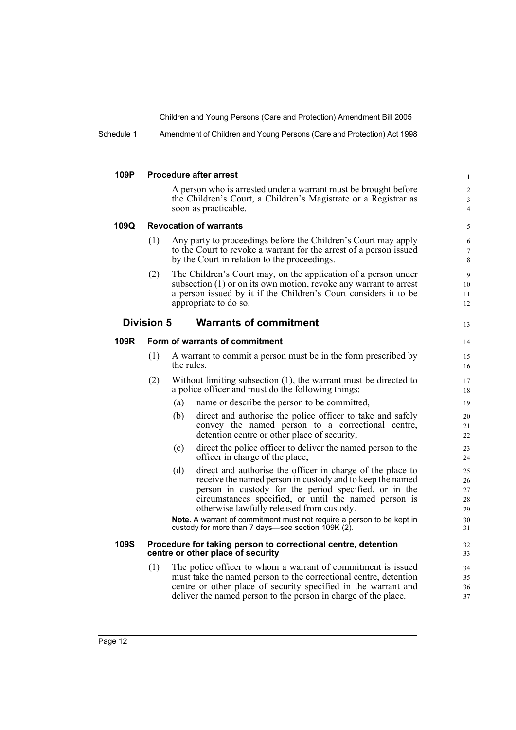37

Schedule 1 Amendment of Children and Young Persons (Care and Protection) Act 1998

| 109P        |                   | <b>Procedure after arrest</b>                                                                                                                                                                                                                                                                 | $\mathbf{1}$                          |
|-------------|-------------------|-----------------------------------------------------------------------------------------------------------------------------------------------------------------------------------------------------------------------------------------------------------------------------------------------|---------------------------------------|
|             |                   | A person who is arrested under a warrant must be brought before<br>the Children's Court, a Children's Magistrate or a Registrar as<br>soon as practicable.                                                                                                                                    | $\overline{c}$<br>3<br>$\overline{4}$ |
| 109Q        |                   | <b>Revocation of warrants</b>                                                                                                                                                                                                                                                                 | 5                                     |
|             | (1)               | Any party to proceedings before the Children's Court may apply<br>to the Court to revoke a warrant for the arrest of a person issued<br>by the Court in relation to the proceedings.                                                                                                          | 6<br>$\tau$<br>8                      |
|             | (2)               | The Children's Court may, on the application of a person under<br>subsection (1) or on its own motion, revoke any warrant to arrest<br>a person issued by it if the Children's Court considers it to be<br>appropriate to do so.                                                              | 9<br>10<br>11<br>12                   |
|             | <b>Division 5</b> | <b>Warrants of commitment</b>                                                                                                                                                                                                                                                                 | 13                                    |
| 109R        |                   | Form of warrants of commitment                                                                                                                                                                                                                                                                | 14                                    |
|             | (1)               | A warrant to commit a person must be in the form prescribed by<br>the rules.                                                                                                                                                                                                                  | 15<br>16                              |
|             | (2)               | Without limiting subsection (1), the warrant must be directed to<br>a police officer and must do the following things:                                                                                                                                                                        | 17<br>18                              |
|             |                   | (a)<br>name or describe the person to be committed,                                                                                                                                                                                                                                           | 19                                    |
|             |                   | direct and authorise the police officer to take and safely<br>(b)<br>convey the named person to a correctional centre,<br>detention centre or other place of security,                                                                                                                        | 20<br>21<br>22                        |
|             |                   | direct the police officer to deliver the named person to the<br>(c)<br>officer in charge of the place,                                                                                                                                                                                        | 23<br>24                              |
|             |                   | direct and authorise the officer in charge of the place to<br>(d)<br>receive the named person in custody and to keep the named<br>person in custody for the period specified, or in the<br>circumstances specified, or until the named person is<br>otherwise lawfully released from custody. | 25<br>26<br>27<br>28<br>29            |
|             |                   | Note. A warrant of commitment must not require a person to be kept in<br>custody for more than 7 days—see section 109K (2).                                                                                                                                                                   | 30<br>31                              |
| <b>109S</b> |                   | Procedure for taking person to correctional centre, detention<br>centre or other place of security                                                                                                                                                                                            | 32<br>33                              |
|             | (1)               | The police officer to whom a warrant of commitment is issued<br>must take the named person to the correctional centre, detention<br>centre or other place of security specified in the warrant and                                                                                            | 34<br>35<br>36                        |

deliver the named person to the person in charge of the place.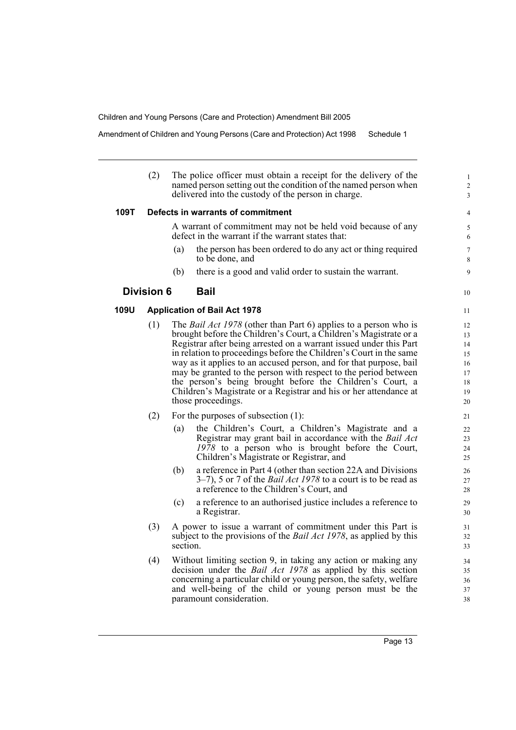Amendment of Children and Young Persons (Care and Protection) Act 1998 Schedule 1

(2) The police officer must obtain a receipt for the delivery of the named person setting out the condition of the named person when delivered into the custody of the person in charge.

#### **109T Defects in warrants of commitment**

A warrant of commitment may not be held void because of any defect in the warrant if the warrant states that:

- (a) the person has been ordered to do any act or thing required to be done, and
- (b) there is a good and valid order to sustain the warrant.

## **Division 6 Bail**

## **109U Application of Bail Act 1978**

- (1) The *Bail Act 1978* (other than Part 6) applies to a person who is brought before the Children's Court, a Children's Magistrate or a Registrar after being arrested on a warrant issued under this Part in relation to proceedings before the Children's Court in the same way as it applies to an accused person, and for that purpose, bail may be granted to the person with respect to the period between the person's being brought before the Children's Court, a Children's Magistrate or a Registrar and his or her attendance at those proceedings.
- (2) For the purposes of subsection (1):
	- (a) the Children's Court, a Children's Magistrate and a Registrar may grant bail in accordance with the *Bail Act 1978* to a person who is brought before the Court, Children's Magistrate or Registrar, and
	- (b) a reference in Part 4 (other than section 22A and Divisions 3–7), 5 or 7 of the *Bail Act 1978* to a court is to be read as a reference to the Children's Court, and
	- (c) a reference to an authorised justice includes a reference to a Registrar.
- (3) A power to issue a warrant of commitment under this Part is subject to the provisions of the *Bail Act 1978*, as applied by this section.
- (4) Without limiting section 9, in taking any action or making any decision under the *Bail Act 1978* as applied by this section concerning a particular child or young person, the safety, welfare and well-being of the child or young person must be the paramount consideration.

10

11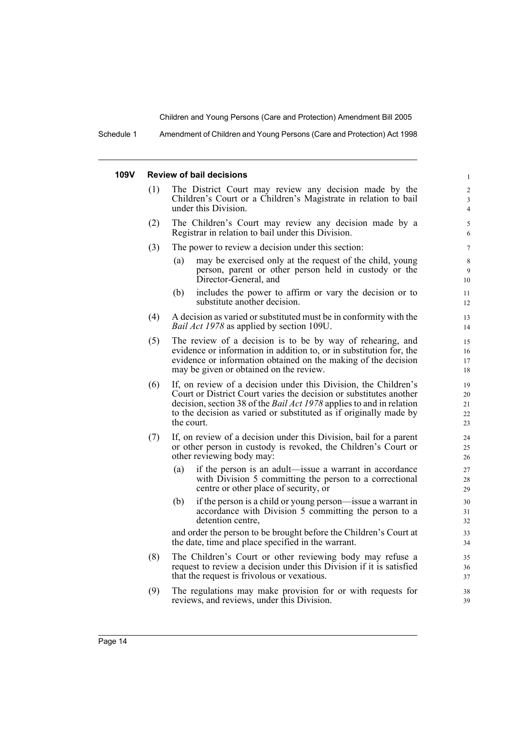Schedule 1 Amendment of Children and Young Persons (Care and Protection) Act 1998

#### **109V Review of bail decisions**

- (1) The District Court may review any decision made by the Children's Court or a Children's Magistrate in relation to bail under this Division.
- (2) The Children's Court may review any decision made by a Registrar in relation to bail under this Division.
- (3) The power to review a decision under this section:
	- (a) may be exercised only at the request of the child, young person, parent or other person held in custody or the Director-General, and

- (b) includes the power to affirm or vary the decision or to substitute another decision.
- (4) A decision as varied or substituted must be in conformity with the *Bail Act 1978* as applied by section 109U.
- (5) The review of a decision is to be by way of rehearing, and evidence or information in addition to, or in substitution for, the evidence or information obtained on the making of the decision may be given or obtained on the review.
- (6) If, on review of a decision under this Division, the Children's Court or District Court varies the decision or substitutes another decision, section 38 of the *Bail Act 1978* applies to and in relation to the decision as varied or substituted as if originally made by the court.
- (7) If, on review of a decision under this Division, bail for a parent or other person in custody is revoked, the Children's Court or other reviewing body may:
	- (a) if the person is an adult—issue a warrant in accordance with Division 5 committing the person to a correctional centre or other place of security, or
	- (b) if the person is a child or young person—issue a warrant in accordance with Division 5 committing the person to a detention centre,

and order the person to be brought before the Children's Court at the date, time and place specified in the warrant.

- (8) The Children's Court or other reviewing body may refuse a request to review a decision under this Division if it is satisfied that the request is frivolous or vexatious.
- (9) The regulations may make provision for or with requests for reviews, and reviews, under this Division.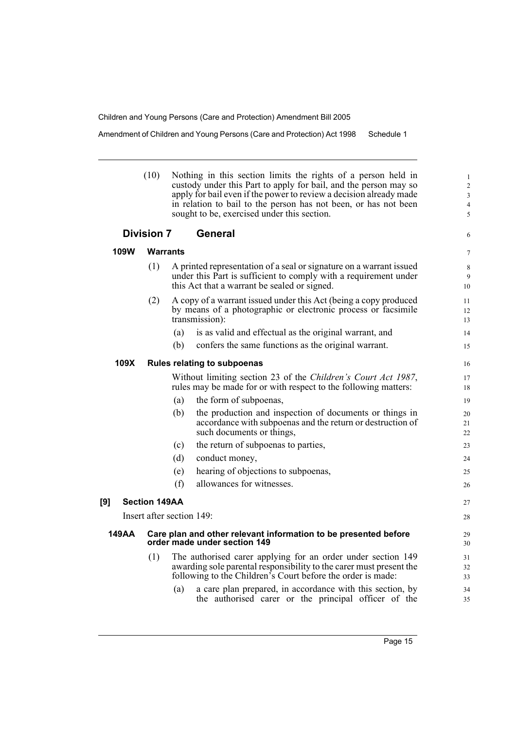Amendment of Children and Young Persons (Care and Protection) Act 1998 Schedule 1

| (10) | Nothing in this section limits the rights of a person held in      |
|------|--------------------------------------------------------------------|
|      | custody under this Part to apply for bail, and the person may so   |
|      | apply for bail even if the power to review a decision already made |
|      | in relation to bail to the person has not been, or has not been    |
|      | sought to be, exercised under this section.                        |
|      |                                                                    |

## **Division 7 General**

**109W Warrants**

7

6

| (1) | A printed representation of a seal or signature on a warrant issued<br>under this Part is sufficient to comply with a requirement under<br>this Act that a warrant be sealed or signed. |  |
|-----|-----------------------------------------------------------------------------------------------------------------------------------------------------------------------------------------|--|
| (2) | A convole werent issued under this Act (being a converseduced                                                                                                                           |  |

(2) A copy of a warrant issued under this Act (being a copy produced by means of a photographic or electronic process or facsimile transmission):

(a) is as valid and effectual as the original warrant, and

(b) confers the same functions as the original warrant.

#### **109X Rules relating to subpoenas**

Without limiting section 23 of the *Children's Court Act 1987*, rules may be made for or with respect to the following matters:

- (a) the form of subpoenas,
- (b) the production and inspection of documents or things in accordance with subpoenas and the return or destruction of such documents or things,
- (c) the return of subpoenas to parties,
- (d) conduct money,
- (e) hearing of objections to subpoenas,
- (f) allowances for witnesses.

## **[9] Section 149AA**

Insert after section 149:

#### **149AA Care plan and other relevant information to be presented before order made under section 149**

- (1) The authorised carer applying for an order under section 149 awarding sole parental responsibility to the carer must present the following to the Children's Court before the order is made:
	- (a) a care plan prepared, in accordance with this section, by the authorised carer or the principal officer of the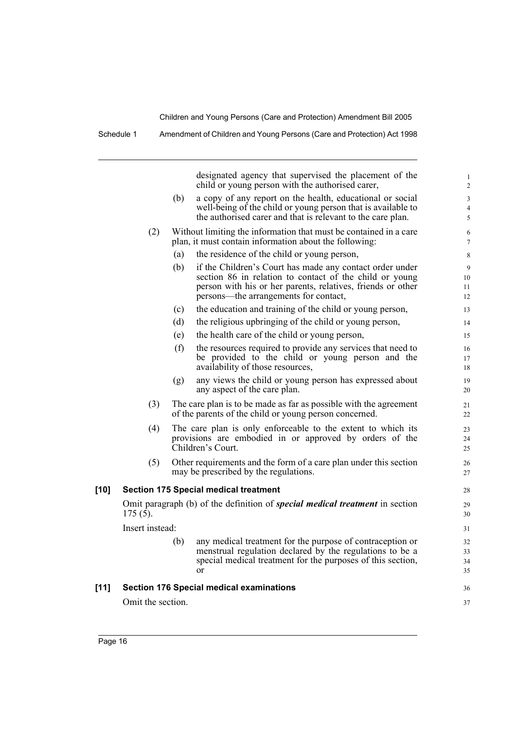Schedule 1 Amendment of Children and Young Persons (Care and Protection) Act 1998

designated agency that supervised the placement of the child or young person with the authorised carer, (b) a copy of any report on the health, educational or social well-being of the child or young person that is available to the authorised carer and that is relevant to the care plan. (2) Without limiting the information that must be contained in a care plan, it must contain information about the following: (a) the residence of the child or young person, (b) if the Children's Court has made any contact order under section 86 in relation to contact of the child or young person with his or her parents, relatives, friends or other persons—the arrangements for contact, (c) the education and training of the child or young person, (d) the religious upbringing of the child or young person, (e) the health care of the child or young person, (f) the resources required to provide any services that need to be provided to the child or young person and the availability of those resources, (g) any views the child or young person has expressed about any aspect of the care plan. (3) The care plan is to be made as far as possible with the agreement of the parents of the child or young person concerned. (4) The care plan is only enforceable to the extent to which its provisions are embodied in or approved by orders of the Children's Court. (5) Other requirements and the form of a care plan under this section may be prescribed by the regulations. **[10] Section 175 Special medical treatment** Omit paragraph (b) of the definition of *special medical treatment* in section 175 (5). Insert instead: (b) any medical treatment for the purpose of contraception or menstrual regulation declared by the regulations to be a special medical treatment for the purposes of this section, or **[11] Section 176 Special medical examinations**  Omit the section. 1  $\overline{\phantom{a}}$ 3 4 5 6 7 8 9 10 11 12 13 14 15 16 17 18 19 20 21  $22$ 23  $24$  $25$ 26 27 28 29 30 31 32 33 34 35 36 37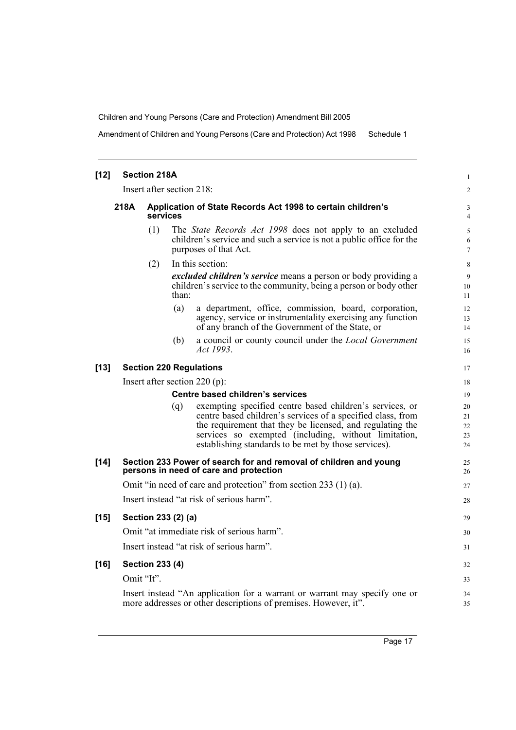Amendment of Children and Young Persons (Care and Protection) Act 1998 Schedule 1

| $[12]$ |                                                                                                             | <b>Section 218A</b>                                                     |       |                                                                                                                                                                                                                                                                                                      |  |
|--------|-------------------------------------------------------------------------------------------------------------|-------------------------------------------------------------------------|-------|------------------------------------------------------------------------------------------------------------------------------------------------------------------------------------------------------------------------------------------------------------------------------------------------------|--|
|        | Insert after section 218:                                                                                   |                                                                         |       |                                                                                                                                                                                                                                                                                                      |  |
|        | 218A                                                                                                        | Application of State Records Act 1998 to certain children's<br>services |       |                                                                                                                                                                                                                                                                                                      |  |
|        |                                                                                                             | (1)                                                                     |       | The <i>State Records Act 1998</i> does not apply to an excluded<br>children's service and such a service is not a public office for the<br>purposes of that Act.                                                                                                                                     |  |
|        |                                                                                                             | (2)                                                                     | than: | In this section:<br><i>excluded children's service</i> means a person or body providing a<br>children's service to the community, being a person or body other                                                                                                                                       |  |
|        |                                                                                                             |                                                                         | (a)   | a department, office, commission, board, corporation,<br>agency, service or instrumentality exercising any function<br>of any branch of the Government of the State, or                                                                                                                              |  |
|        |                                                                                                             |                                                                         | (b)   | a council or county council under the <i>Local Government</i><br>Act 1993.                                                                                                                                                                                                                           |  |
| $[13]$ | <b>Section 220 Regulations</b>                                                                              |                                                                         |       |                                                                                                                                                                                                                                                                                                      |  |
|        | Insert after section 220 (p):                                                                               |                                                                         |       |                                                                                                                                                                                                                                                                                                      |  |
|        | Centre based children's services                                                                            |                                                                         |       |                                                                                                                                                                                                                                                                                                      |  |
|        |                                                                                                             |                                                                         | (q)   | exempting specified centre based children's services, or<br>centre based children's services of a specified class, from<br>the requirement that they be licensed, and regulating the<br>services so exempted (including, without limitation,<br>establishing standards to be met by those services). |  |
| $[14]$ | Section 233 Power of search for and removal of children and young<br>persons in need of care and protection |                                                                         |       |                                                                                                                                                                                                                                                                                                      |  |
|        | Omit "in need of care and protection" from section 233 (1) (a).                                             |                                                                         |       |                                                                                                                                                                                                                                                                                                      |  |
|        | Insert instead "at risk of serious harm".                                                                   |                                                                         |       |                                                                                                                                                                                                                                                                                                      |  |
| $[15]$ | Section 233 (2) (a)                                                                                         |                                                                         |       |                                                                                                                                                                                                                                                                                                      |  |
|        | Omit "at immediate risk of serious harm".                                                                   |                                                                         |       |                                                                                                                                                                                                                                                                                                      |  |
|        |                                                                                                             |                                                                         |       | Insert instead "at risk of serious harm".                                                                                                                                                                                                                                                            |  |
| $[16]$ | <b>Section 233 (4)</b>                                                                                      |                                                                         |       |                                                                                                                                                                                                                                                                                                      |  |
|        |                                                                                                             | Omit "It".                                                              |       |                                                                                                                                                                                                                                                                                                      |  |
|        |                                                                                                             |                                                                         |       | Insert instead "An application for a warrant or warrant may specify one or<br>more addresses or other descriptions of premises. However, it".                                                                                                                                                        |  |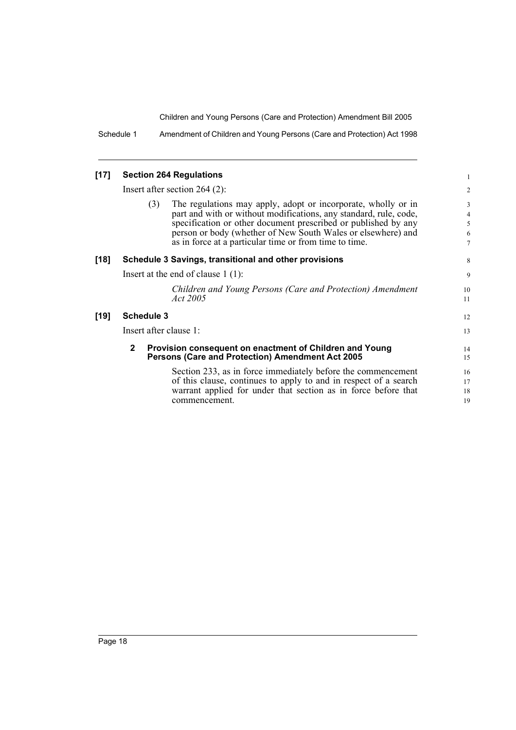Schedule 1 Amendment of Children and Young Persons (Care and Protection) Act 1998

#### **[17] Section 264 Regulations**

Insert after section 264 (2):

(3) The regulations may apply, adopt or incorporate, wholly or in part and with or without modifications, any standard, rule, code, specification or other document prescribed or published by any person or body (whether of New South Wales or elsewhere) and as in force at a particular time or from time to time.

#### **[18] Schedule 3 Savings, transitional and other provisions**

Insert at the end of clause 1 (1):

*Children and Young Persons (Care and Protection) Amendment Act 2005*

#### **[19] Schedule 3**

Insert after clause 1:

#### **2 Provision consequent on enactment of Children and Young Persons (Care and Protection) Amendment Act 2005**

Section 233, as in force immediately before the commencement of this clause, continues to apply to and in respect of a search warrant applied for under that section as in force before that commencement.